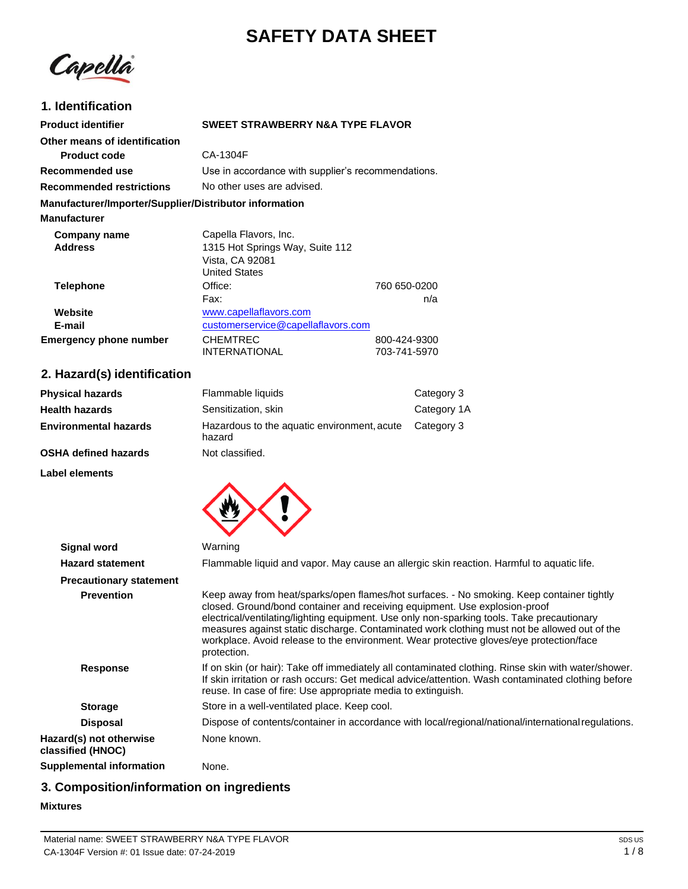# **SAFETY DATA SHEET**

Capella

# **1. Identification**

| <b>Product identifier</b>                              | <b>SWEET STRAWBERRY N&amp;A TYPE FLAVOR</b>        |              |
|--------------------------------------------------------|----------------------------------------------------|--------------|
| Other means of identification                          |                                                    |              |
| <b>Product code</b>                                    | CA-1304F                                           |              |
| Recommended use                                        | Use in accordance with supplier's recommendations. |              |
| <b>Recommended restrictions</b>                        | No other uses are advised.                         |              |
| Manufacturer/Importer/Supplier/Distributor information |                                                    |              |
| <b>Manufacturer</b>                                    |                                                    |              |
| Company name                                           | Capella Flavors, Inc.                              |              |
| <b>Address</b>                                         | 1315 Hot Springs Way, Suite 112                    |              |
|                                                        | Vista, CA 92081                                    |              |
|                                                        | <b>United States</b>                               |              |
| <b>Telephone</b>                                       | Office:                                            | 760 650-0200 |
|                                                        | Fax:                                               | n/a          |
| Website                                                | www.capellaflavors.com                             |              |
| E-mail                                                 | customerservice@capellaflavors.com                 |              |
| Emergency phone number                                 | <b>CHEMTREC</b>                                    | 800-424-9300 |
|                                                        | <b>INTERNATIONAL</b>                               | 703-741-5970 |

# **2. Hazard(s) identification**

| <b>Physical hazards</b>      | Flammable liquids                                     | Category 3  |
|------------------------------|-------------------------------------------------------|-------------|
| <b>Health hazards</b>        | Sensitization, skin                                   | Category 1A |
| <b>Environmental hazards</b> | Hazardous to the aquatic environment, acute<br>hazard | Category 3  |
| <b>OSHA defined hazards</b>  | Not classified.                                       |             |

**Label elements**



| <b>Signal word</b>                           | Warning                                                                                                                                                                                                                                                                                                                                                                                                                                                                         |
|----------------------------------------------|---------------------------------------------------------------------------------------------------------------------------------------------------------------------------------------------------------------------------------------------------------------------------------------------------------------------------------------------------------------------------------------------------------------------------------------------------------------------------------|
| <b>Hazard statement</b>                      | Flammable liquid and vapor. May cause an allergic skin reaction. Harmful to aquatic life.                                                                                                                                                                                                                                                                                                                                                                                       |
| <b>Precautionary statement</b>               |                                                                                                                                                                                                                                                                                                                                                                                                                                                                                 |
| <b>Prevention</b>                            | Keep away from heat/sparks/open flames/hot surfaces. - No smoking. Keep container tightly<br>closed. Ground/bond container and receiving equipment. Use explosion-proof<br>electrical/ventilating/lighting equipment. Use only non-sparking tools. Take precautionary<br>measures against static discharge. Contaminated work clothing must not be allowed out of the<br>workplace. Avoid release to the environment. Wear protective gloves/eye protection/face<br>protection. |
| <b>Response</b>                              | If on skin (or hair): Take off immediately all contaminated clothing. Rinse skin with water/shower.<br>If skin irritation or rash occurs: Get medical advice/attention. Wash contaminated clothing before<br>reuse. In case of fire: Use appropriate media to extinguish.                                                                                                                                                                                                       |
| <b>Storage</b>                               | Store in a well-ventilated place. Keep cool.                                                                                                                                                                                                                                                                                                                                                                                                                                    |
| <b>Disposal</b>                              | Dispose of contents/container in accordance with local/regional/national/international regulations.                                                                                                                                                                                                                                                                                                                                                                             |
| Hazard(s) not otherwise<br>classified (HNOC) | None known.                                                                                                                                                                                                                                                                                                                                                                                                                                                                     |
| <b>Supplemental information</b>              | None.                                                                                                                                                                                                                                                                                                                                                                                                                                                                           |

# **3. Composition/information on ingredients**

### **Mixtures**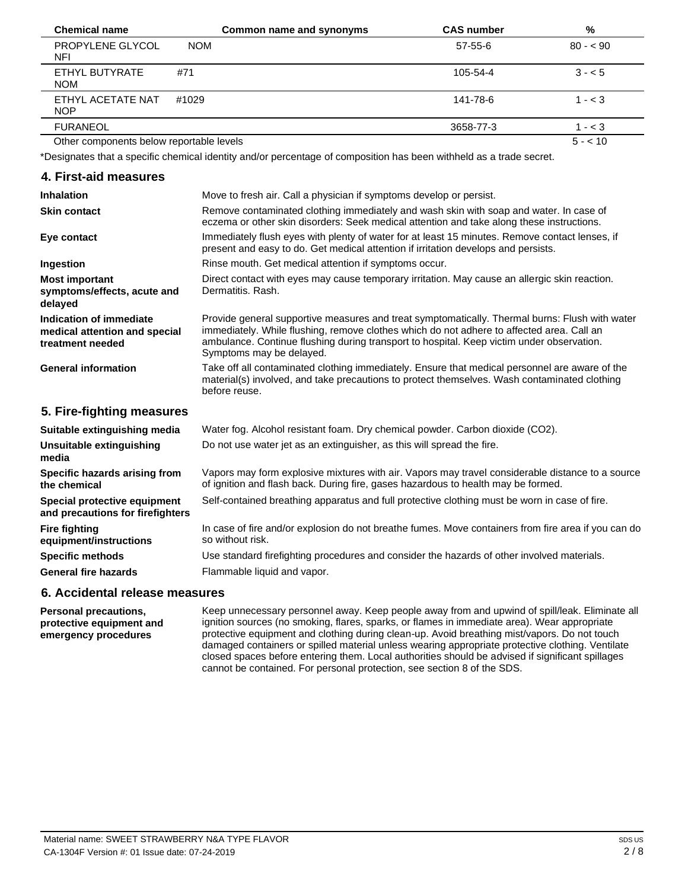| <b>Chemical name</b>                     | Common name and synonyms | <b>CAS number</b> | %         |
|------------------------------------------|--------------------------|-------------------|-----------|
| PROPYLENE GLYCOL<br>NFI                  | <b>NOM</b>               | 57-55-6           | $80 - 90$ |
| ETHYL BUTYRATE<br><b>NOM</b>             | #71                      | 105-54-4          | $3 - 5$   |
| ETHYL ACETATE NAT<br><b>NOP</b>          | #1029                    | 141-78-6          | $1 - < 3$ |
| <b>FURANEOL</b>                          |                          | 3658-77-3         | $1 - < 3$ |
| Other components below reportable levels |                          |                   | $5 - 10$  |

\*Designates that a specific chemical identity and/or percentage of composition has been withheld as a trade secret.

| 4. First-aid measures |
|-----------------------|
|-----------------------|

| <b>Inhalation</b>                                                            | Move to fresh air. Call a physician if symptoms develop or persist.                                                                                                                                                                                                                                                  |
|------------------------------------------------------------------------------|----------------------------------------------------------------------------------------------------------------------------------------------------------------------------------------------------------------------------------------------------------------------------------------------------------------------|
| <b>Skin contact</b>                                                          | Remove contaminated clothing immediately and wash skin with soap and water. In case of<br>eczema or other skin disorders: Seek medical attention and take along these instructions.                                                                                                                                  |
| Eye contact                                                                  | Immediately flush eyes with plenty of water for at least 15 minutes. Remove contact lenses, if<br>present and easy to do. Get medical attention if irritation develops and persists.                                                                                                                                 |
| Ingestion                                                                    | Rinse mouth. Get medical attention if symptoms occur.                                                                                                                                                                                                                                                                |
| <b>Most important</b><br>symptoms/effects, acute and<br>delayed              | Direct contact with eyes may cause temporary irritation. May cause an allergic skin reaction.<br>Dermatitis, Rash.                                                                                                                                                                                                   |
| Indication of immediate<br>medical attention and special<br>treatment needed | Provide general supportive measures and treat symptomatically. Thermal burns: Flush with water<br>immediately. While flushing, remove clothes which do not adhere to affected area. Call an<br>ambulance. Continue flushing during transport to hospital. Keep victim under observation.<br>Symptoms may be delayed. |
| <b>General information</b>                                                   | Take off all contaminated clothing immediately. Ensure that medical personnel are aware of the<br>material(s) involved, and take precautions to protect themselves. Wash contaminated clothing<br>before reuse.                                                                                                      |
| 5. Fire-fighting measures                                                    |                                                                                                                                                                                                                                                                                                                      |
| Suitable extinguishing media                                                 | Water fog. Alcohol resistant foam. Dry chemical powder. Carbon dioxide (CO2).                                                                                                                                                                                                                                        |
| <b>Unsuitable extinguishing</b><br>media                                     | Do not use water jet as an extinguisher, as this will spread the fire.                                                                                                                                                                                                                                               |
| Specific hazards arising from<br>the chemical                                | Vapors may form explosive mixtures with air. Vapors may travel considerable distance to a source<br>of ignition and flash back. During fire, gases hazardous to health may be formed.                                                                                                                                |
| Special protective equipment<br>and precautions for firefighters             | Self-contained breathing apparatus and full protective clothing must be worn in case of fire.                                                                                                                                                                                                                        |
| <b>Fire fighting</b><br>equipment/instructions                               | In case of fire and/or explosion do not breathe fumes. Move containers from fire area if you can do<br>so without risk.                                                                                                                                                                                              |
| <b>Specific methods</b>                                                      | Use standard firefighting procedures and consider the hazards of other involved materials.                                                                                                                                                                                                                           |
| <b>General fire hazards</b>                                                  | Flammable liquid and vapor.                                                                                                                                                                                                                                                                                          |
|                                                                              |                                                                                                                                                                                                                                                                                                                      |

### **6. Accidental release measures**

**Personal precautions, protective equipment and emergency procedures** Keep unnecessary personnel away. Keep people away from and upwind of spill/leak. Eliminate all ignition sources (no smoking, flares, sparks, or flames in immediate area). Wear appropriate protective equipment and clothing during clean-up. Avoid breathing mist/vapors. Do not touch damaged containers or spilled material unless wearing appropriate protective clothing. Ventilate closed spaces before entering them. Local authorities should be advised if significant spillages cannot be contained. For personal protection, see section 8 of the SDS.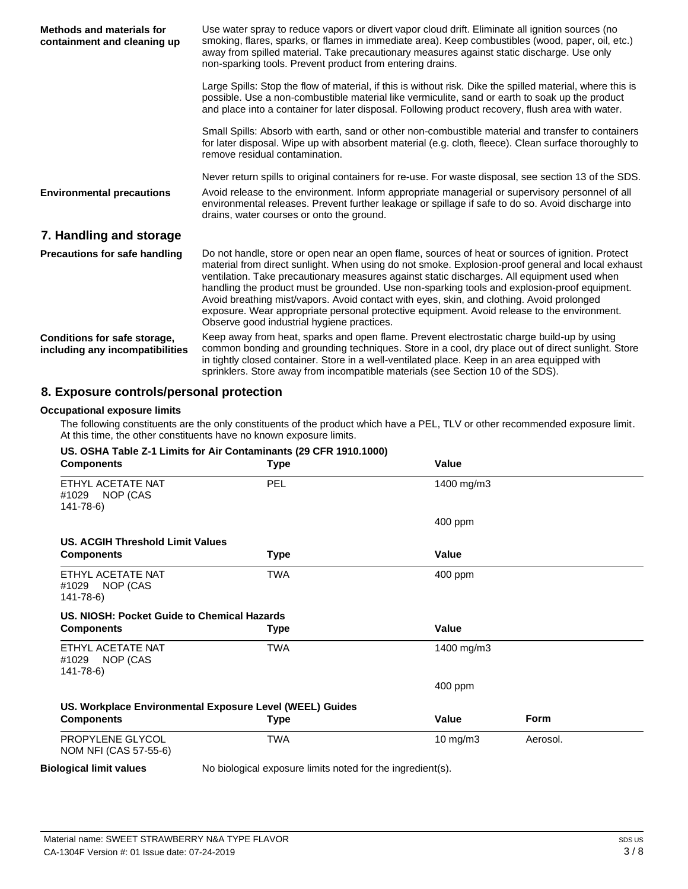| Methods and materials for<br>containment and cleaning up        | Use water spray to reduce vapors or divert vapor cloud drift. Eliminate all ignition sources (no<br>smoking, flares, sparks, or flames in immediate area). Keep combustibles (wood, paper, oil, etc.)<br>away from spilled material. Take precautionary measures against static discharge. Use only<br>non-sparking tools. Prevent product from entering drains.                                                                                                                                                                                                                                                                               |
|-----------------------------------------------------------------|------------------------------------------------------------------------------------------------------------------------------------------------------------------------------------------------------------------------------------------------------------------------------------------------------------------------------------------------------------------------------------------------------------------------------------------------------------------------------------------------------------------------------------------------------------------------------------------------------------------------------------------------|
|                                                                 | Large Spills: Stop the flow of material, if this is without risk. Dike the spilled material, where this is<br>possible. Use a non-combustible material like vermiculite, sand or earth to soak up the product<br>and place into a container for later disposal. Following product recovery, flush area with water.                                                                                                                                                                                                                                                                                                                             |
|                                                                 | Small Spills: Absorb with earth, sand or other non-combustible material and transfer to containers<br>for later disposal. Wipe up with absorbent material (e.g. cloth, fleece). Clean surface thoroughly to<br>remove residual contamination.                                                                                                                                                                                                                                                                                                                                                                                                  |
|                                                                 | Never return spills to original containers for re-use. For waste disposal, see section 13 of the SDS.                                                                                                                                                                                                                                                                                                                                                                                                                                                                                                                                          |
| <b>Environmental precautions</b>                                | Avoid release to the environment. Inform appropriate managerial or supervisory personnel of all<br>environmental releases. Prevent further leakage or spillage if safe to do so. Avoid discharge into<br>drains, water courses or onto the ground.                                                                                                                                                                                                                                                                                                                                                                                             |
| 7. Handling and storage                                         |                                                                                                                                                                                                                                                                                                                                                                                                                                                                                                                                                                                                                                                |
| <b>Precautions for safe handling</b>                            | Do not handle, store or open near an open flame, sources of heat or sources of ignition. Protect<br>material from direct sunlight. When using do not smoke. Explosion-proof general and local exhaust<br>ventilation. Take precautionary measures against static discharges. All equipment used when<br>handling the product must be grounded. Use non-sparking tools and explosion-proof equipment.<br>Avoid breathing mist/vapors. Avoid contact with eyes, skin, and clothing. Avoid prolonged<br>exposure. Wear appropriate personal protective equipment. Avoid release to the environment.<br>Observe good industrial hygiene practices. |
| Conditions for safe storage,<br>including any incompatibilities | Keep away from heat, sparks and open flame. Prevent electrostatic charge build-up by using<br>common bonding and grounding techniques. Store in a cool, dry place out of direct sunlight. Store<br>in tightly closed container. Store in a well-ventilated place. Keep in an area equipped with<br>sprinklers. Store away from incompatible materials (see Section 10 of the SDS).                                                                                                                                                                                                                                                             |

# **8. Exposure controls/personal protection**

#### **Occupational exposure limits**

The following constituents are the only constituents of the product which have a PEL, TLV or other recommended exposure limit. At this time, the other constituents have no known exposure limits.

| <b>Components</b>                                        | Type        | Value      |          |  |
|----------------------------------------------------------|-------------|------------|----------|--|
| ETHYL ACETATE NAT<br>#1029 NOP (CAS<br>141-78-6)         | <b>PEL</b>  | 1400 mg/m3 |          |  |
|                                                          |             | 400 ppm    |          |  |
| US. ACGIH Threshold Limit Values                         |             |            |          |  |
| <b>Components</b>                                        | <b>Type</b> | Value      |          |  |
| ETHYL ACETATE NAT<br>#1029 NOP (CAS<br>141-78-6)         | <b>TWA</b>  | $400$ ppm  |          |  |
| US. NIOSH: Pocket Guide to Chemical Hazards              |             |            |          |  |
| <b>Components</b>                                        | Type        | Value      |          |  |
| ETHYL ACETATE NAT<br>#1029 NOP (CAS<br>141-78-6)         | <b>TWA</b>  | 1400 mg/m3 |          |  |
|                                                          |             | $400$ ppm  |          |  |
| US. Workplace Environmental Exposure Level (WEEL) Guides |             |            |          |  |
| <b>Components</b>                                        | Type        | Value      | Form     |  |
| PROPYLENE GLYCOL<br>NOM NFI (CAS 57-55-6)                | <b>TWA</b>  | 10 mg/m3   | Aerosol. |  |

### **Biological limit values**

No biological exposure limits noted for the ingredient(s).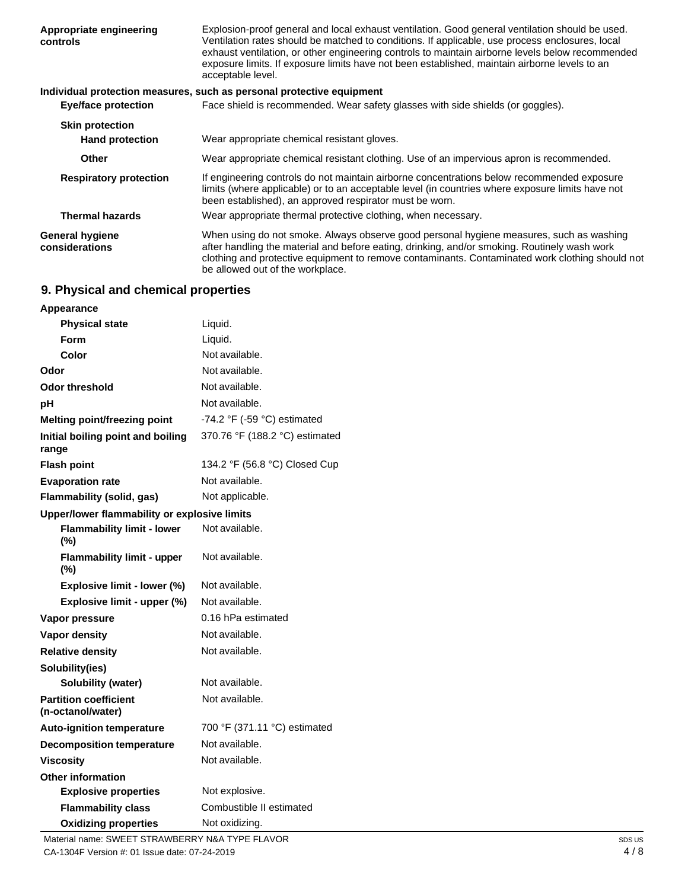| Appropriate engineering<br>controls      | Explosion-proof general and local exhaust ventilation. Good general ventilation should be used.<br>Ventilation rates should be matched to conditions. If applicable, use process enclosures, local<br>exhaust ventilation, or other engineering controls to maintain airborne levels below recommended<br>exposure limits. If exposure limits have not been established, maintain airborne levels to an<br>acceptable level. |
|------------------------------------------|------------------------------------------------------------------------------------------------------------------------------------------------------------------------------------------------------------------------------------------------------------------------------------------------------------------------------------------------------------------------------------------------------------------------------|
|                                          | Individual protection measures, such as personal protective equipment                                                                                                                                                                                                                                                                                                                                                        |
| <b>Eye/face protection</b>               | Face shield is recommended. Wear safety glasses with side shields (or goggles).                                                                                                                                                                                                                                                                                                                                              |
| <b>Skin protection</b>                   |                                                                                                                                                                                                                                                                                                                                                                                                                              |
| <b>Hand protection</b>                   | Wear appropriate chemical resistant gloves.                                                                                                                                                                                                                                                                                                                                                                                  |
| Other                                    | Wear appropriate chemical resistant clothing. Use of an impervious apron is recommended.                                                                                                                                                                                                                                                                                                                                     |
| <b>Respiratory protection</b>            | If engineering controls do not maintain airborne concentrations below recommended exposure<br>limits (where applicable) or to an acceptable level (in countries where exposure limits have not<br>been established), an approved respirator must be worn.                                                                                                                                                                    |
| <b>Thermal hazards</b>                   | Wear appropriate thermal protective clothing, when necessary.                                                                                                                                                                                                                                                                                                                                                                |
| <b>General hygiene</b><br>considerations | When using do not smoke. Always observe good personal hygiene measures, such as washing<br>after handling the material and before eating, drinking, and/or smoking. Routinely wash work<br>clothing and protective equipment to remove contaminants. Contaminated work clothing should not<br>be allowed out of the workplace.                                                                                               |

# **9. Physical and chemical properties**

| Appearance                                        |                                               |
|---------------------------------------------------|-----------------------------------------------|
| <b>Physical state</b>                             | Liquid.                                       |
| Form                                              | Liquid.                                       |
| Color                                             | Not available.                                |
| Odor                                              | Not available.                                |
| <b>Odor threshold</b>                             | Not available.                                |
| рH                                                | Not available.                                |
| Melting point/freezing point                      | -74.2 $\degree$ F (-59 $\degree$ C) estimated |
| Initial boiling point and boiling<br>range        | 370.76 °F (188.2 °C) estimated                |
| <b>Flash point</b>                                | 134.2 °F (56.8 °C) Closed Cup                 |
| <b>Evaporation rate</b>                           | Not available.                                |
| Flammability (solid, gas)                         | Not applicable.                               |
| Upper/lower flammability or explosive limits      |                                               |
| <b>Flammability limit - lower</b><br>(%)          | Not available.                                |
| <b>Flammability limit - upper</b><br>(%)          | Not available.                                |
| Explosive limit - lower (%)                       | Not available.                                |
| Explosive limit - upper (%)                       | Not available.                                |
| Vapor pressure                                    | 0.16 hPa estimated                            |
| <b>Vapor density</b>                              | Not available.                                |
| <b>Relative density</b>                           | Not available.                                |
| Solubility(ies)                                   |                                               |
| Solubility (water)                                | Not available.                                |
| <b>Partition coefficient</b><br>(n-octanol/water) | Not available.                                |
| <b>Auto-ignition temperature</b>                  | 700 °F (371.11 °C) estimated                  |
| <b>Decomposition temperature</b>                  | Not available.                                |
| <b>Viscosity</b>                                  | Not available.                                |
| <b>Other information</b>                          |                                               |
| <b>Explosive properties</b>                       | Not explosive.                                |
| <b>Flammability class</b>                         | Combustible II estimated                      |
| <b>Oxidizing properties</b>                       | Not oxidizing.                                |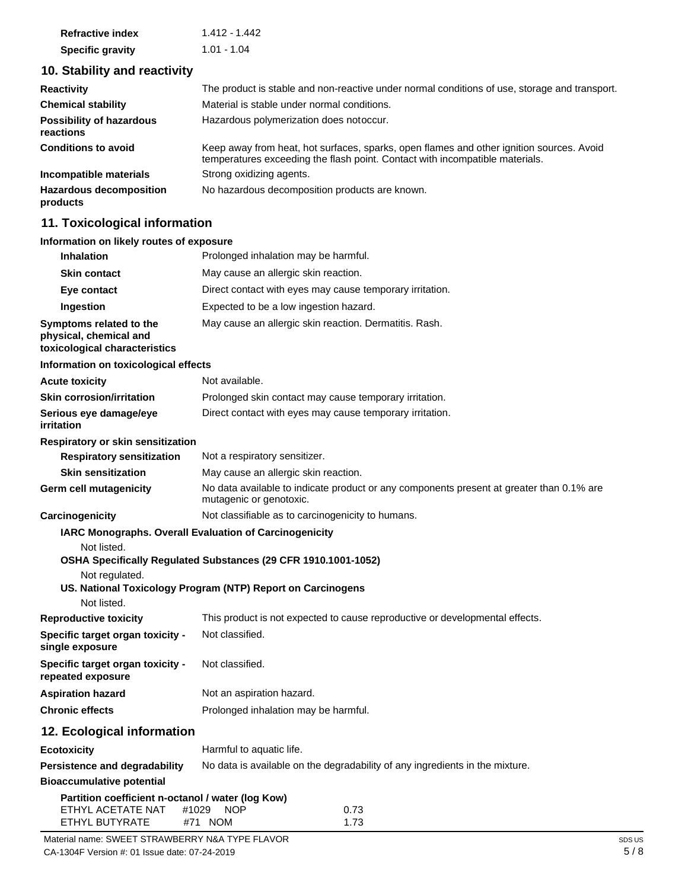| <b>Refractive index</b> | 1.412 - 1.442 |
|-------------------------|---------------|
| <b>Specific gravity</b> | $1.01 - 1.04$ |

# **10. Stability and reactivity**

| <b>Reactivity</b>                            | The product is stable and non-reactive under normal conditions of use, storage and transport.                                                                            |
|----------------------------------------------|--------------------------------------------------------------------------------------------------------------------------------------------------------------------------|
| <b>Chemical stability</b>                    | Material is stable under normal conditions.                                                                                                                              |
| <b>Possibility of hazardous</b><br>reactions | Hazardous polymerization does notoccur.                                                                                                                                  |
| <b>Conditions to avoid</b>                   | Keep away from heat, hot surfaces, sparks, open flames and other ignition sources. Avoid<br>temperatures exceeding the flash point. Contact with incompatible materials. |
| Incompatible materials                       | Strong oxidizing agents.                                                                                                                                                 |
| <b>Hazardous decomposition</b><br>products   | No hazardous decomposition products are known.                                                                                                                           |

# **11. Toxicological information**

## **Information on likely routes of exposure**

| <b>Inhalation</b>                                                                        | Prolonged inhalation may be harmful.                                                                                |  |  |  |
|------------------------------------------------------------------------------------------|---------------------------------------------------------------------------------------------------------------------|--|--|--|
| <b>Skin contact</b>                                                                      | May cause an allergic skin reaction.                                                                                |  |  |  |
| Eye contact                                                                              | Direct contact with eyes may cause temporary irritation.                                                            |  |  |  |
| Ingestion                                                                                | Expected to be a low ingestion hazard.                                                                              |  |  |  |
| Symptoms related to the<br>physical, chemical and<br>toxicological characteristics       | May cause an allergic skin reaction. Dermatitis. Rash.                                                              |  |  |  |
| Information on toxicological effects                                                     |                                                                                                                     |  |  |  |
| <b>Acute toxicity</b>                                                                    | Not available.                                                                                                      |  |  |  |
| <b>Skin corrosion/irritation</b>                                                         | Prolonged skin contact may cause temporary irritation.                                                              |  |  |  |
| Serious eye damage/eye<br>irritation                                                     | Direct contact with eyes may cause temporary irritation.                                                            |  |  |  |
| Respiratory or skin sensitization                                                        |                                                                                                                     |  |  |  |
| <b>Respiratory sensitization</b>                                                         | Not a respiratory sensitizer.                                                                                       |  |  |  |
| <b>Skin sensitization</b>                                                                | May cause an allergic skin reaction.                                                                                |  |  |  |
| <b>Germ cell mutagenicity</b>                                                            | No data available to indicate product or any components present at greater than 0.1% are<br>mutagenic or genotoxic. |  |  |  |
| Carcinogenicity                                                                          | Not classifiable as to carcinogenicity to humans.                                                                   |  |  |  |
|                                                                                          | IARC Monographs. Overall Evaluation of Carcinogenicity                                                              |  |  |  |
| Not listed.<br>Not regulated.                                                            | OSHA Specifically Regulated Substances (29 CFR 1910.1001-1052)                                                      |  |  |  |
| Not listed.                                                                              | US. National Toxicology Program (NTP) Report on Carcinogens                                                         |  |  |  |
| <b>Reproductive toxicity</b>                                                             | This product is not expected to cause reproductive or developmental effects.                                        |  |  |  |
| Specific target organ toxicity -<br>single exposure                                      | Not classified.                                                                                                     |  |  |  |
| Specific target organ toxicity -<br>repeated exposure                                    | Not classified.                                                                                                     |  |  |  |
| <b>Aspiration hazard</b>                                                                 | Not an aspiration hazard.                                                                                           |  |  |  |
| <b>Chronic effects</b>                                                                   | Prolonged inhalation may be harmful.                                                                                |  |  |  |
| 12. Ecological information                                                               |                                                                                                                     |  |  |  |
| Ecotoxicity                                                                              | Harmful to aquatic life.                                                                                            |  |  |  |
| <b>Persistence and degradability</b>                                                     | No data is available on the degradability of any ingredients in the mixture.                                        |  |  |  |
| <b>Bioaccumulative potential</b>                                                         |                                                                                                                     |  |  |  |
| Partition coefficient n-octanol / water (log Kow)<br>ETHYL ACETATE NAT<br>ETHYL BUTYRATE | #1029<br>0.73<br><b>NOP</b><br>#71 NOM<br>1.73                                                                      |  |  |  |
| Material name: SWEET STRAWBERRY N&A TYPE FLAVOR                                          |                                                                                                                     |  |  |  |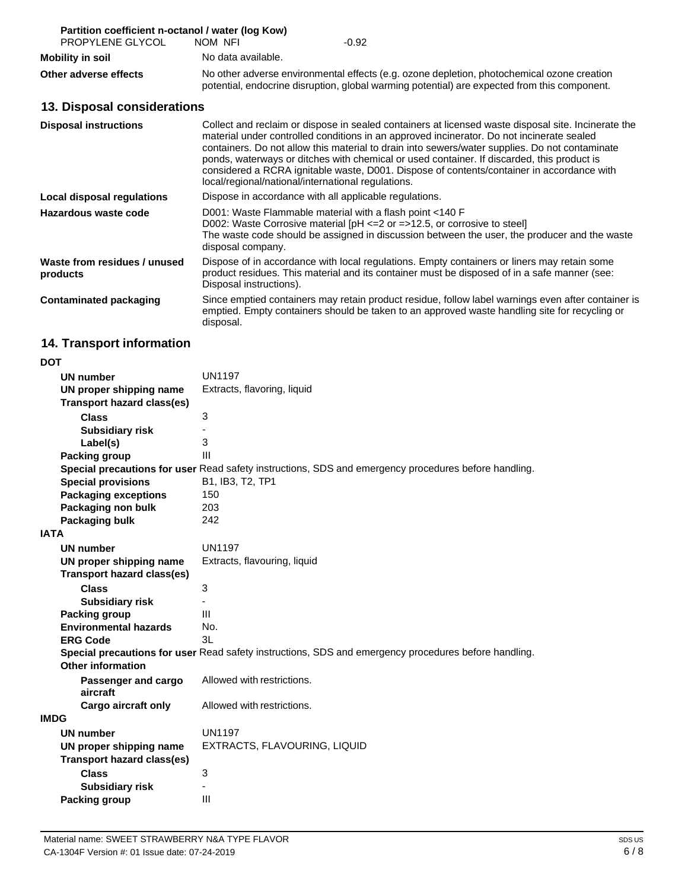| Partition coefficient n-octanol / water (log Kow) |                                                                                                                                                                                                                                                                                                                                                                                                                                                                                                                                                     |  |  |  |
|---------------------------------------------------|-----------------------------------------------------------------------------------------------------------------------------------------------------------------------------------------------------------------------------------------------------------------------------------------------------------------------------------------------------------------------------------------------------------------------------------------------------------------------------------------------------------------------------------------------------|--|--|--|
| PROPYLENE GLYCOL                                  | NOM NFI<br>$-0.92$                                                                                                                                                                                                                                                                                                                                                                                                                                                                                                                                  |  |  |  |
| <b>Mobility in soil</b>                           | No data available.                                                                                                                                                                                                                                                                                                                                                                                                                                                                                                                                  |  |  |  |
| Other adverse effects                             | No other adverse environmental effects (e.g. ozone depletion, photochemical ozone creation<br>potential, endocrine disruption, global warming potential) are expected from this component.                                                                                                                                                                                                                                                                                                                                                          |  |  |  |
| 13. Disposal considerations                       |                                                                                                                                                                                                                                                                                                                                                                                                                                                                                                                                                     |  |  |  |
| <b>Disposal instructions</b>                      | Collect and reclaim or dispose in sealed containers at licensed waste disposal site. Incinerate the<br>material under controlled conditions in an approved incinerator. Do not incinerate sealed<br>containers. Do not allow this material to drain into sewers/water supplies. Do not contaminate<br>ponds, waterways or ditches with chemical or used container. If discarded, this product is<br>considered a RCRA ignitable waste, D001. Dispose of contents/container in accordance with<br>local/regional/national/international regulations. |  |  |  |
| Local disposal regulations                        | Dispose in accordance with all applicable regulations.                                                                                                                                                                                                                                                                                                                                                                                                                                                                                              |  |  |  |
| Hazardous waste code                              | D001: Waste Flammable material with a flash point <140 F<br>D002: Waste Corrosive material [pH <= 2 or = > 12.5, or corrosive to steel]<br>The waste code should be assigned in discussion between the user, the producer and the waste<br>disposal company.                                                                                                                                                                                                                                                                                        |  |  |  |
| Waste from residues / unused<br>products          | Dispose of in accordance with local regulations. Empty containers or liners may retain some<br>product residues. This material and its container must be disposed of in a safe manner (see:<br>Disposal instructions).                                                                                                                                                                                                                                                                                                                              |  |  |  |
| <b>Contaminated packaging</b>                     | Since emptied containers may retain product residue, follow label warnings even after container is<br>emptied. Empty containers should be taken to an approved waste handling site for recycling or<br>disposal.                                                                                                                                                                                                                                                                                                                                    |  |  |  |
| 14. Transport information                         |                                                                                                                                                                                                                                                                                                                                                                                                                                                                                                                                                     |  |  |  |
| <b>DOT</b>                                        |                                                                                                                                                                                                                                                                                                                                                                                                                                                                                                                                                     |  |  |  |

| <b>UN number</b>                  | <b>UN1197</b>                                                                                        |  |  |
|-----------------------------------|------------------------------------------------------------------------------------------------------|--|--|
| UN proper shipping name           | Extracts, flavoring, liquid                                                                          |  |  |
| <b>Transport hazard class(es)</b> |                                                                                                      |  |  |
| Class                             | 3                                                                                                    |  |  |
| <b>Subsidiary risk</b>            |                                                                                                      |  |  |
| Label(s)                          | 3                                                                                                    |  |  |
| Packing group                     | $\mathbf{III}$                                                                                       |  |  |
|                                   | Special precautions for user Read safety instructions, SDS and emergency procedures before handling. |  |  |
| <b>Special provisions</b>         | B1, IB3, T2, TP1                                                                                     |  |  |
| <b>Packaging exceptions</b>       | 150                                                                                                  |  |  |
| Packaging non bulk                | 203                                                                                                  |  |  |
| Packaging bulk                    | 242                                                                                                  |  |  |
| <b>IATA</b>                       |                                                                                                      |  |  |
| <b>UN number</b>                  | <b>UN1197</b>                                                                                        |  |  |
| UN proper shipping name           | Extracts, flavouring, liquid                                                                         |  |  |
| <b>Transport hazard class(es)</b> |                                                                                                      |  |  |
| <b>Class</b>                      | 3                                                                                                    |  |  |
| <b>Subsidiary risk</b>            |                                                                                                      |  |  |
| <b>Packing group</b>              | Ш                                                                                                    |  |  |
| <b>Environmental hazards</b>      | No.                                                                                                  |  |  |
| <b>ERG Code</b>                   | 3L                                                                                                   |  |  |
|                                   | Special precautions for user Read safety instructions, SDS and emergency procedures before handling. |  |  |
| Other information                 |                                                                                                      |  |  |
| Passenger and cargo<br>aircraft   | Allowed with restrictions.                                                                           |  |  |
| <b>Cargo aircraft only</b>        | Allowed with restrictions.                                                                           |  |  |
| <b>IMDG</b>                       |                                                                                                      |  |  |
| <b>UN number</b>                  | <b>UN1197</b>                                                                                        |  |  |
| UN proper shipping name           | EXTRACTS, FLAVOURING, LIQUID                                                                         |  |  |
| <b>Transport hazard class(es)</b> |                                                                                                      |  |  |
| <b>Class</b>                      | 3                                                                                                    |  |  |
| <b>Subsidiary risk</b>            |                                                                                                      |  |  |
| Packing group                     | III                                                                                                  |  |  |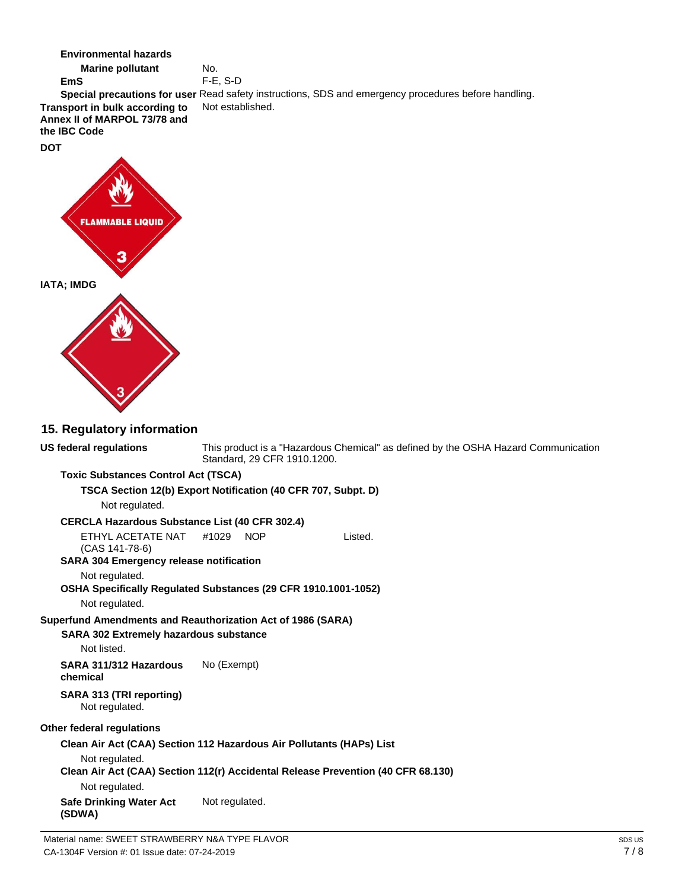**Environmental hazards**  No. **Marine pollutant** F-E, S-D **EmS Special precautions for user** Read safety instructions, SDS and emergency procedures before handling. Not established. **Transport in bulk according to Annex II of MARPOL 73/78 and the IBC Code DOT FLAMMABLE LIQUID IATA; IMDG 15. Regulatory information US federal regulations** This product is a "Hazardous Chemical" as defined by the OSHA Hazard Communication Standard, 29 CFR 1910.1200. **Toxic Substances Control Act (TSCA) TSCA Section 12(b) Export Notification (40 CFR 707, Subpt. D)** Not regulated. **CERCLA Hazardous Substance List (40 CFR 302.4)** ETHYL ACETATE NAT #1029 NOP Listed. (CAS 141-78-6) **SARA 304 Emergency release notification** Not regulated. **OSHA Specifically Regulated Substances (29 CFR 1910.1001-1052)** Not regulated. **Superfund Amendments and Reauthorization Act of 1986 (SARA) SARA 302 Extremely hazardous substance** Not listed. **SARA 311/312 Hazardous**  No (Exempt) **chemical SARA 313 (TRI reporting)** Not regulated. **Other federal regulations Clean Air Act (CAA) Section 112 Hazardous Air Pollutants (HAPs) List** Not regulated. **Clean Air Act (CAA) Section 112(r) Accidental Release Prevention (40 CFR 68.130)** Not regulated. **Safe Drinking Water Act**  Not regulated.**(SDWA)**